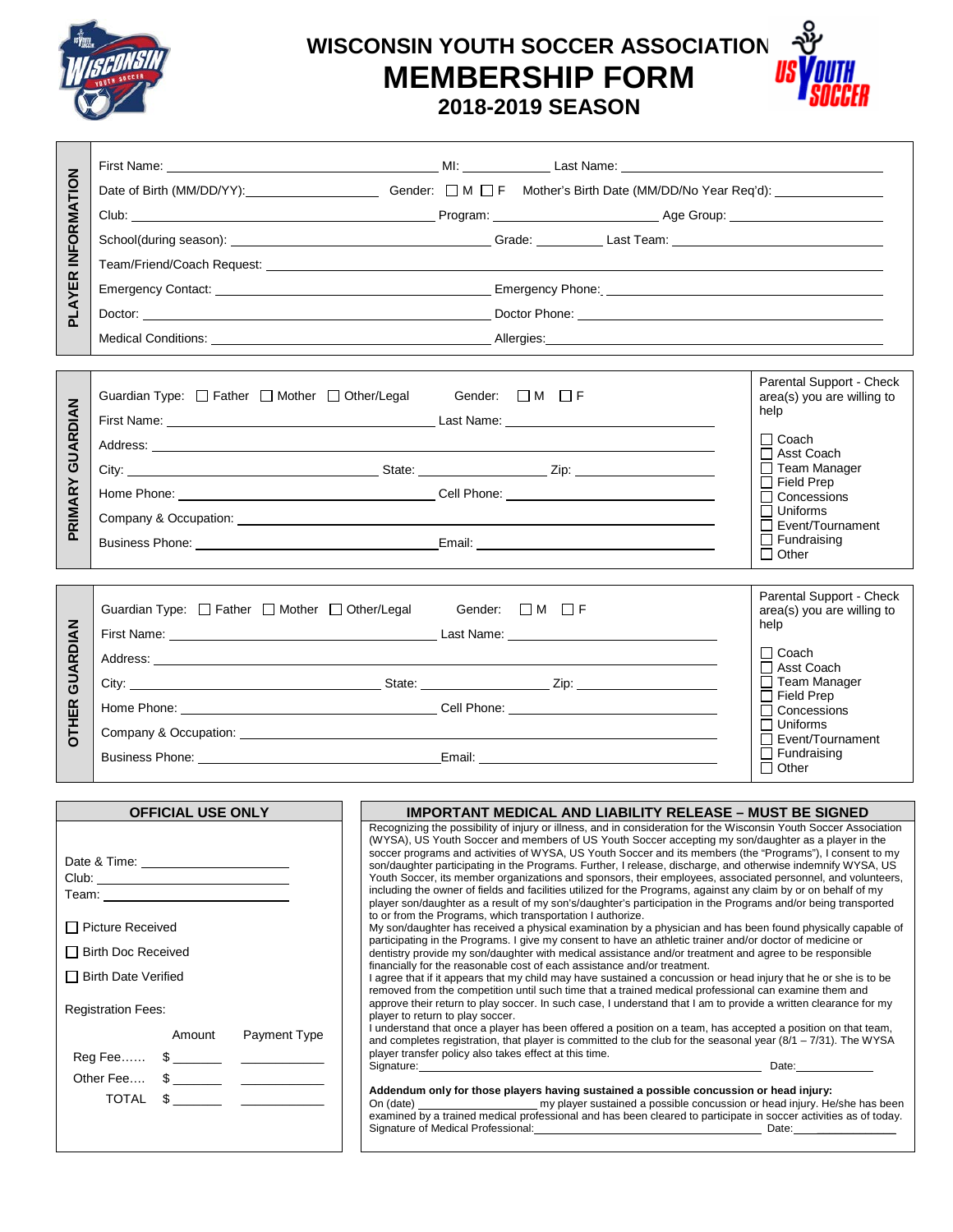

# **WISCONSIN YOUTH SOCCER ASSOCIATION MEMBERSHIP FORM 2018-2019 SEASON**



| PLAYER INFORMATION                                                                          | Date of Birth (MM/DD/YY): Gender: □ M □ F Mother's Birth Date (MM/DD/No Year Req'd): _____________                                                                                                                                                                                                                                                                                                                                                                                                                                                                                                                                                                                                                                                                                                                                                                                                                                                                                                                                                                                                                                                                                                                                                                                                                                                                                                                                                                                                                                                                                                                                                                                                                                                                                                                                                                                                                                                                                                                                                                                                                                                                                                                                                                                                                                                                                                                                                                                                                                                                                                                                                                                                                                                                                                                                                                                                                                                                                                                                                                                                                                                                                                                                                                                                                  |                                                                                                                                                                                                                                                                        |                                                                                                                                                             |
|---------------------------------------------------------------------------------------------|---------------------------------------------------------------------------------------------------------------------------------------------------------------------------------------------------------------------------------------------------------------------------------------------------------------------------------------------------------------------------------------------------------------------------------------------------------------------------------------------------------------------------------------------------------------------------------------------------------------------------------------------------------------------------------------------------------------------------------------------------------------------------------------------------------------------------------------------------------------------------------------------------------------------------------------------------------------------------------------------------------------------------------------------------------------------------------------------------------------------------------------------------------------------------------------------------------------------------------------------------------------------------------------------------------------------------------------------------------------------------------------------------------------------------------------------------------------------------------------------------------------------------------------------------------------------------------------------------------------------------------------------------------------------------------------------------------------------------------------------------------------------------------------------------------------------------------------------------------------------------------------------------------------------------------------------------------------------------------------------------------------------------------------------------------------------------------------------------------------------------------------------------------------------------------------------------------------------------------------------------------------------------------------------------------------------------------------------------------------------------------------------------------------------------------------------------------------------------------------------------------------------------------------------------------------------------------------------------------------------------------------------------------------------------------------------------------------------------------------------------------------------------------------------------------------------------------------------------------------------------------------------------------------------------------------------------------------------------------------------------------------------------------------------------------------------------------------------------------------------------------------------------------------------------------------------------------------------------------------------------------------------------------------------------------------------|------------------------------------------------------------------------------------------------------------------------------------------------------------------------------------------------------------------------------------------------------------------------|-------------------------------------------------------------------------------------------------------------------------------------------------------------|
|                                                                                             |                                                                                                                                                                                                                                                                                                                                                                                                                                                                                                                                                                                                                                                                                                                                                                                                                                                                                                                                                                                                                                                                                                                                                                                                                                                                                                                                                                                                                                                                                                                                                                                                                                                                                                                                                                                                                                                                                                                                                                                                                                                                                                                                                                                                                                                                                                                                                                                                                                                                                                                                                                                                                                                                                                                                                                                                                                                                                                                                                                                                                                                                                                                                                                                                                                                                                                                     |                                                                                                                                                                                                                                                                        |                                                                                                                                                             |
|                                                                                             |                                                                                                                                                                                                                                                                                                                                                                                                                                                                                                                                                                                                                                                                                                                                                                                                                                                                                                                                                                                                                                                                                                                                                                                                                                                                                                                                                                                                                                                                                                                                                                                                                                                                                                                                                                                                                                                                                                                                                                                                                                                                                                                                                                                                                                                                                                                                                                                                                                                                                                                                                                                                                                                                                                                                                                                                                                                                                                                                                                                                                                                                                                                                                                                                                                                                                                                     |                                                                                                                                                                                                                                                                        |                                                                                                                                                             |
|                                                                                             |                                                                                                                                                                                                                                                                                                                                                                                                                                                                                                                                                                                                                                                                                                                                                                                                                                                                                                                                                                                                                                                                                                                                                                                                                                                                                                                                                                                                                                                                                                                                                                                                                                                                                                                                                                                                                                                                                                                                                                                                                                                                                                                                                                                                                                                                                                                                                                                                                                                                                                                                                                                                                                                                                                                                                                                                                                                                                                                                                                                                                                                                                                                                                                                                                                                                                                                     |                                                                                                                                                                                                                                                                        |                                                                                                                                                             |
|                                                                                             |                                                                                                                                                                                                                                                                                                                                                                                                                                                                                                                                                                                                                                                                                                                                                                                                                                                                                                                                                                                                                                                                                                                                                                                                                                                                                                                                                                                                                                                                                                                                                                                                                                                                                                                                                                                                                                                                                                                                                                                                                                                                                                                                                                                                                                                                                                                                                                                                                                                                                                                                                                                                                                                                                                                                                                                                                                                                                                                                                                                                                                                                                                                                                                                                                                                                                                                     |                                                                                                                                                                                                                                                                        |                                                                                                                                                             |
|                                                                                             |                                                                                                                                                                                                                                                                                                                                                                                                                                                                                                                                                                                                                                                                                                                                                                                                                                                                                                                                                                                                                                                                                                                                                                                                                                                                                                                                                                                                                                                                                                                                                                                                                                                                                                                                                                                                                                                                                                                                                                                                                                                                                                                                                                                                                                                                                                                                                                                                                                                                                                                                                                                                                                                                                                                                                                                                                                                                                                                                                                                                                                                                                                                                                                                                                                                                                                                     |                                                                                                                                                                                                                                                                        |                                                                                                                                                             |
|                                                                                             |                                                                                                                                                                                                                                                                                                                                                                                                                                                                                                                                                                                                                                                                                                                                                                                                                                                                                                                                                                                                                                                                                                                                                                                                                                                                                                                                                                                                                                                                                                                                                                                                                                                                                                                                                                                                                                                                                                                                                                                                                                                                                                                                                                                                                                                                                                                                                                                                                                                                                                                                                                                                                                                                                                                                                                                                                                                                                                                                                                                                                                                                                                                                                                                                                                                                                                                     |                                                                                                                                                                                                                                                                        |                                                                                                                                                             |
|                                                                                             |                                                                                                                                                                                                                                                                                                                                                                                                                                                                                                                                                                                                                                                                                                                                                                                                                                                                                                                                                                                                                                                                                                                                                                                                                                                                                                                                                                                                                                                                                                                                                                                                                                                                                                                                                                                                                                                                                                                                                                                                                                                                                                                                                                                                                                                                                                                                                                                                                                                                                                                                                                                                                                                                                                                                                                                                                                                                                                                                                                                                                                                                                                                                                                                                                                                                                                                     |                                                                                                                                                                                                                                                                        |                                                                                                                                                             |
| PRIMARY GUARDIAN                                                                            | Guardian Type: □ Father □ Mother □ Other/Legal<br>Address: <u>Address:</u> Address: Address: Address: Address: Address: Address: Address: Address: Address: Address: Address: Address: Address: Address: Address: Address: Address: Address: Address: Address: Address: Address: Addr                                                                                                                                                                                                                                                                                                                                                                                                                                                                                                                                                                                                                                                                                                                                                                                                                                                                                                                                                                                                                                                                                                                                                                                                                                                                                                                                                                                                                                                                                                                                                                                                                                                                                                                                                                                                                                                                                                                                                                                                                                                                                                                                                                                                                                                                                                                                                                                                                                                                                                                                                                                                                                                                                                                                                                                                                                                                                                                                                                                                                               | Gender: $\Box$ M $\Box$ F                                                                                                                                                                                                                                              | Parental Support - Check<br>area(s) you are willing to<br>help<br>□ Coach<br>□ Asst Coach<br>$\Box$ Team Manager<br>$\Box$ Field Prep<br>$\Box$ Concessions |
|                                                                                             | Company & Occupation: University of the Company of the Company of the Company of the Company of the Company of the Company of the Company of the Company of the Company of the Company of the Company of the Company of the Co                                                                                                                                                                                                                                                                                                                                                                                                                                                                                                                                                                                                                                                                                                                                                                                                                                                                                                                                                                                                                                                                                                                                                                                                                                                                                                                                                                                                                                                                                                                                                                                                                                                                                                                                                                                                                                                                                                                                                                                                                                                                                                                                                                                                                                                                                                                                                                                                                                                                                                                                                                                                                                                                                                                                                                                                                                                                                                                                                                                                                                                                                      |                                                                                                                                                                                                                                                                        | $\Box$ Uniforms<br>$\Box$ Event/Tournament                                                                                                                  |
|                                                                                             |                                                                                                                                                                                                                                                                                                                                                                                                                                                                                                                                                                                                                                                                                                                                                                                                                                                                                                                                                                                                                                                                                                                                                                                                                                                                                                                                                                                                                                                                                                                                                                                                                                                                                                                                                                                                                                                                                                                                                                                                                                                                                                                                                                                                                                                                                                                                                                                                                                                                                                                                                                                                                                                                                                                                                                                                                                                                                                                                                                                                                                                                                                                                                                                                                                                                                                                     |                                                                                                                                                                                                                                                                        | $\Box$ Fundraising                                                                                                                                          |
|                                                                                             |                                                                                                                                                                                                                                                                                                                                                                                                                                                                                                                                                                                                                                                                                                                                                                                                                                                                                                                                                                                                                                                                                                                                                                                                                                                                                                                                                                                                                                                                                                                                                                                                                                                                                                                                                                                                                                                                                                                                                                                                                                                                                                                                                                                                                                                                                                                                                                                                                                                                                                                                                                                                                                                                                                                                                                                                                                                                                                                                                                                                                                                                                                                                                                                                                                                                                                                     |                                                                                                                                                                                                                                                                        | $\Box$ Other                                                                                                                                                |
|                                                                                             |                                                                                                                                                                                                                                                                                                                                                                                                                                                                                                                                                                                                                                                                                                                                                                                                                                                                                                                                                                                                                                                                                                                                                                                                                                                                                                                                                                                                                                                                                                                                                                                                                                                                                                                                                                                                                                                                                                                                                                                                                                                                                                                                                                                                                                                                                                                                                                                                                                                                                                                                                                                                                                                                                                                                                                                                                                                                                                                                                                                                                                                                                                                                                                                                                                                                                                                     |                                                                                                                                                                                                                                                                        | Parental Support - Check                                                                                                                                    |
| GUARDIAN<br><b>DTHER</b>                                                                    | area(s) you are willing to<br>help                                                                                                                                                                                                                                                                                                                                                                                                                                                                                                                                                                                                                                                                                                                                                                                                                                                                                                                                                                                                                                                                                                                                                                                                                                                                                                                                                                                                                                                                                                                                                                                                                                                                                                                                                                                                                                                                                                                                                                                                                                                                                                                                                                                                                                                                                                                                                                                                                                                                                                                                                                                                                                                                                                                                                                                                                                                                                                                                                                                                                                                                                                                                                                                                                                                                                  |                                                                                                                                                                                                                                                                        |                                                                                                                                                             |
|                                                                                             | Address: Note and the contract of the contract of the contract of the contract of the contract of the contract of the contract of the contract of the contract of the contract of the contract of the contract of the contract                                                                                                                                                                                                                                                                                                                                                                                                                                                                                                                                                                                                                                                                                                                                                                                                                                                                                                                                                                                                                                                                                                                                                                                                                                                                                                                                                                                                                                                                                                                                                                                                                                                                                                                                                                                                                                                                                                                                                                                                                                                                                                                                                                                                                                                                                                                                                                                                                                                                                                                                                                                                                                                                                                                                                                                                                                                                                                                                                                                                                                                                                      |                                                                                                                                                                                                                                                                        | ∏ Coach<br>$\Box$ Asst Coach                                                                                                                                |
|                                                                                             |                                                                                                                                                                                                                                                                                                                                                                                                                                                                                                                                                                                                                                                                                                                                                                                                                                                                                                                                                                                                                                                                                                                                                                                                                                                                                                                                                                                                                                                                                                                                                                                                                                                                                                                                                                                                                                                                                                                                                                                                                                                                                                                                                                                                                                                                                                                                                                                                                                                                                                                                                                                                                                                                                                                                                                                                                                                                                                                                                                                                                                                                                                                                                                                                                                                                                                                     |                                                                                                                                                                                                                                                                        | Team Manager<br>$\Box$ Field Prep                                                                                                                           |
|                                                                                             |                                                                                                                                                                                                                                                                                                                                                                                                                                                                                                                                                                                                                                                                                                                                                                                                                                                                                                                                                                                                                                                                                                                                                                                                                                                                                                                                                                                                                                                                                                                                                                                                                                                                                                                                                                                                                                                                                                                                                                                                                                                                                                                                                                                                                                                                                                                                                                                                                                                                                                                                                                                                                                                                                                                                                                                                                                                                                                                                                                                                                                                                                                                                                                                                                                                                                                                     |                                                                                                                                                                                                                                                                        | $\Box$ Concessions                                                                                                                                          |
|                                                                                             |                                                                                                                                                                                                                                                                                                                                                                                                                                                                                                                                                                                                                                                                                                                                                                                                                                                                                                                                                                                                                                                                                                                                                                                                                                                                                                                                                                                                                                                                                                                                                                                                                                                                                                                                                                                                                                                                                                                                                                                                                                                                                                                                                                                                                                                                                                                                                                                                                                                                                                                                                                                                                                                                                                                                                                                                                                                                                                                                                                                                                                                                                                                                                                                                                                                                                                                     | $\Box$ Uniforms<br>Company & Occupation: Company & Company & Company & Company & Company & Company & Company and Company and Company and Company and Company and Company and Company and Company and Company and Company and Company and Company<br>□ Event/Tournament |                                                                                                                                                             |
|                                                                                             | Business Phone: <u>Communication of the Communication of the Communication of the Communication of the Communication</u>                                                                                                                                                                                                                                                                                                                                                                                                                                                                                                                                                                                                                                                                                                                                                                                                                                                                                                                                                                                                                                                                                                                                                                                                                                                                                                                                                                                                                                                                                                                                                                                                                                                                                                                                                                                                                                                                                                                                                                                                                                                                                                                                                                                                                                                                                                                                                                                                                                                                                                                                                                                                                                                                                                                                                                                                                                                                                                                                                                                                                                                                                                                                                                                            |                                                                                                                                                                                                                                                                        | $\Box$ Fundraising<br>$\Box$ Other                                                                                                                          |
|                                                                                             |                                                                                                                                                                                                                                                                                                                                                                                                                                                                                                                                                                                                                                                                                                                                                                                                                                                                                                                                                                                                                                                                                                                                                                                                                                                                                                                                                                                                                                                                                                                                                                                                                                                                                                                                                                                                                                                                                                                                                                                                                                                                                                                                                                                                                                                                                                                                                                                                                                                                                                                                                                                                                                                                                                                                                                                                                                                                                                                                                                                                                                                                                                                                                                                                                                                                                                                     |                                                                                                                                                                                                                                                                        |                                                                                                                                                             |
| <b>OFFICIAL USE ONLY</b><br><b>IMPORTANT MEDICAL AND LIABILITY RELEASE - MUST BE SIGNED</b> |                                                                                                                                                                                                                                                                                                                                                                                                                                                                                                                                                                                                                                                                                                                                                                                                                                                                                                                                                                                                                                                                                                                                                                                                                                                                                                                                                                                                                                                                                                                                                                                                                                                                                                                                                                                                                                                                                                                                                                                                                                                                                                                                                                                                                                                                                                                                                                                                                                                                                                                                                                                                                                                                                                                                                                                                                                                                                                                                                                                                                                                                                                                                                                                                                                                                                                                     |                                                                                                                                                                                                                                                                        |                                                                                                                                                             |
|                                                                                             | Recognizing the possibility of injury or illness, and in consideration for the Wisconsin Youth Soccer Association<br>(WYSA), US Youth Soccer and members of US Youth Soccer accepting my son/daughter as a player in the<br>soccer programs and activities of WYSA, US Youth Soccer and its members (the "Programs"), I consent to my<br>son/daughter participating in the Programs. Further, I release, discharge, and otherwise indemnify WYSA, US<br>Youth Soccer, its member organizations and sponsors, their employees, associated personnel, and volunteers,<br>including the owner of fields and facilities utilized for the Programs, against any claim by or on behalf of my<br>player son/daughter as a result of my son's/daughter's participation in the Programs and/or being transported<br>to or from the Programs, which transportation I authorize.<br>$\Box$ Picture Received<br>My son/daughter has received a physical examination by a physician and has been found physically capable of<br>participating in the Programs. I give my consent to have an athletic trainer and/or doctor of medicine or<br>Birth Doc Received<br>dentistry provide my son/daughter with medical assistance and/or treatment and agree to be responsible<br>financially for the reasonable cost of each assistance and/or treatment.<br>□ Birth Date Verified<br>I agree that if it appears that my child may have sustained a concussion or head injury that he or she is to be<br>removed from the competition until such time that a trained medical professional can examine them and<br>approve their return to play soccer. In such case, I understand that I am to provide a written clearance for my<br><b>Registration Fees:</b><br>player to return to play soccer.<br>I understand that once a player has been offered a position on a team, has accepted a position on that team,<br>Payment Type<br>Amount<br>and completes registration, that player is committed to the club for the seasonal year $(8/1 - 7/31)$ . The WYSA<br>player transfer policy also takes effect at this time.<br>Signature: Date: Discovery of the Contract of the Contract of the Contract of the Contract of the Contract of the Contract of the Contract of the Contract of the Contract of the Contract of the Contract of the Contract of<br>Other Fee \$<br>Addendum only for those players having sustained a possible concussion or head injury:<br>$\begin{tabular}{ccccc} \textbf{TOTAL} & $\$ & \textcolor{red}{\bf \textcolor{green}{\bf \textcolor{green}{\bf \textcolor{green}{\bf \textcolor{green}{\bf \textcolor{green}{\bf \textcolor{green}{\bf \textcolor{green}{\bf \textcolor{green}{\bf \textcolor{green}{\bf \textcolor{green}{\bf \textcolor{green}{\bf \textcolor{green}{\bf \textcolor{green}{\bf \textcolor{green}{\bf \textcolor{green}{\bf \textcolor{green}{\bf \textcolor{green}{\bf \textcolor{green}{\bf \textcolor{green}{\bf \textcolor{green}{\bf \textcolor{green}{\bf \textcolor{green}{\bf \textcolor{green}{\bf \textcolor{green}{\bf \$<br>On (date) __________________________ my player sustained a possible concussion or head injury. He/she has been<br>examined by a trained medical professional and has been cleared to participate in soccer activities as of today. |                                                                                                                                                                                                                                                                        |                                                                                                                                                             |
|                                                                                             |                                                                                                                                                                                                                                                                                                                                                                                                                                                                                                                                                                                                                                                                                                                                                                                                                                                                                                                                                                                                                                                                                                                                                                                                                                                                                                                                                                                                                                                                                                                                                                                                                                                                                                                                                                                                                                                                                                                                                                                                                                                                                                                                                                                                                                                                                                                                                                                                                                                                                                                                                                                                                                                                                                                                                                                                                                                                                                                                                                                                                                                                                                                                                                                                                                                                                                                     |                                                                                                                                                                                                                                                                        |                                                                                                                                                             |